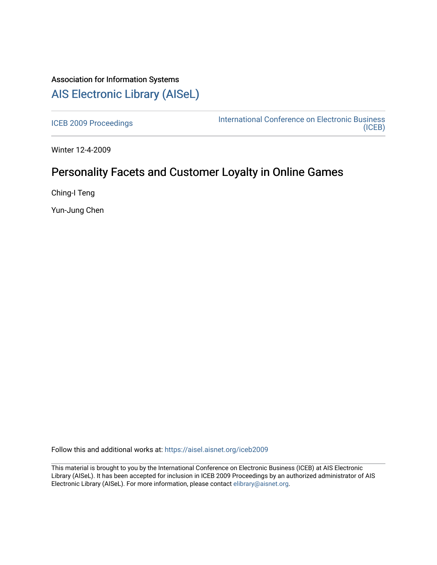# Association for Information Systems [AIS Electronic Library \(AISeL\)](https://aisel.aisnet.org/)

[ICEB 2009 Proceedings](https://aisel.aisnet.org/iceb2009) **International Conference on Electronic Business** [\(ICEB\)](https://aisel.aisnet.org/iceb) 

Winter 12-4-2009

# Personality Facets and Customer Loyalty in Online Games

Ching-I Teng

Yun-Jung Chen

Follow this and additional works at: [https://aisel.aisnet.org/iceb2009](https://aisel.aisnet.org/iceb2009?utm_source=aisel.aisnet.org%2Ficeb2009%2F41&utm_medium=PDF&utm_campaign=PDFCoverPages)

This material is brought to you by the International Conference on Electronic Business (ICEB) at AIS Electronic Library (AISeL). It has been accepted for inclusion in ICEB 2009 Proceedings by an authorized administrator of AIS Electronic Library (AISeL). For more information, please contact [elibrary@aisnet.org.](mailto:elibrary@aisnet.org%3E)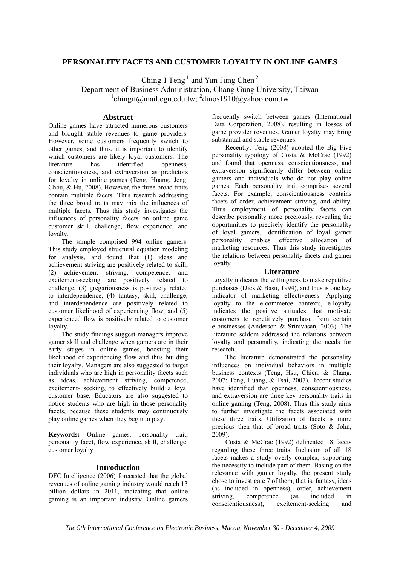# **PERSONALITY FACETS AND CUSTOMER LOYALTY IN ONLINE GAMES**

Ching-I Teng<sup>1</sup> and Yun-Jung Chen<sup>2</sup> Department of Business Administration, Chang Gung University, Taiwan

 $\frac{1}{2}$ chingit@mail.cgu.edu.tw;  $\frac{2}{3}$ dinos1910@yahoo.com.tw

# **Abstract**

Online games have attracted numerous customers and brought stable revenues to game providers. However, some customers frequently switch to other games, and thus, it is important to identify which customers are likely loyal customers. The literature has identified openness, conscientiousness, and extraversion as predictors for loyalty in online games (Teng, Huang, Jeng, Chou, & Hu, 2008). However, the three broad traits contain multiple facets. Thus research addressing the three broad traits may mix the influences of multiple facets. Thus this study investigates the influences of personality facets on online game customer skill, challenge, flow experience, and loyalty.

The sample comprised 994 online gamers. This study employed structural equation modeling for analysis, and found that (1) ideas and achievement striving are positively related to skill, (2) achievement striving, competence, and excitement-seeking are positively related to challenge, (3) gregariousness is positively related to interdependence, (4) fantasy, skill, challenge, and interdependence are positively related to customer likelihood of experiencing flow, and (5) experienced flow is positively related to customer loyalty.

The study findings suggest managers improve gamer skill and challenge when gamers are in their early stages in online games, boosting their likelihood of experiencing flow and thus building their loyalty. Managers are also suggested to target individuals who are high in personality facets such as ideas, achievement striving, competence, excitement- seeking, to effectively build a loyal customer base. Educators are also suggested to notice students who are high in those personality facets, because these students may continuously play online games when they begin to play.

**Keywords:** Online games, personality trait, personality facet, flow experience, skill, challenge, customer loyalty

# **Introduction**

DFC Intelligence (2006) forecasted that the global revenues of online gaming industry would reach 13 billion dollars in 2011, indicating that online gaming is an important industry. Online gamers frequently switch between games (International Data Corporation, 2008), resulting in losses of game provider revenues. Gamer loyalty may bring substantial and stable revenues.

Recently, Teng (2008) adopted the Big Five personality typology of Costa & McCrae (1992) and found that openness, conscientiousness, and extraversion significantly differ between online gamers and individuals who do not play online games. Each personality trait comprises several facets. For example, conscientiousness contains facets of order, achievement striving, and ability. Thus employment of personality facets can describe personality more preciously, revealing the opportunities to precisely identify the personality of loyal gamers. Identification of loyal gamer personality enables effective allocation of marketing resources. Thus this study investigates the relations between personality facets and gamer loyalty.

# **Literature**

Loyalty indicates the willingness to make repetitive purchases (Dick & Basu, 1994), and thus is one key indicator of marketing effectiveness. Applying loyalty to the e-commerce contexts, e-loyalty indicates the positive attitudes that motivate customers to repetitively purchase from certain e-businesses (Anderson & Srinivasan, 2003). The literature seldom addressed the relations between loyalty and personality, indicating the needs for research.

The literature demonstrated the personality influences on individual behaviors in multiple business contexts (Teng, Hsu, Chien, & Chang, 2007; Teng, Huang, & Tsai, 2007). Recent studies have identified that openness, conscientiousness, and extraversion are three key personality traits in online gaming (Teng, 2008). Thus this study aims to further investigate the facets associated with these three traits. Utilization of facets is more precious then that of broad traits (Soto & John, 2009).

Costa & McCrae (1992) delineated 18 facets regarding these three traits. Inclusion of all 18 facets makes a study overly complex, supporting the necessity to include part of them. Basing on the relevance with gamer loyalty, the present study chose to investigate 7 of them, that is, fantasy, ideas (as included in openness), order, achievement striving, competence (as included in conscientiousness), excitement-seeking and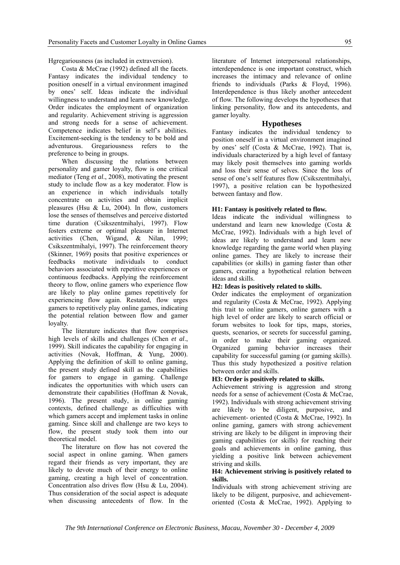Hgregariousness (as included in extraversion).

Costa & McCrae (1992) defined all the facets. Fantasy indicates the individual tendency to position oneself in a virtual environment imagined by ones' self. Ideas indicate the individual willingness to understand and learn new knowledge. Order indicates the employment of organization and regularity. Achievement striving is aggression and strong needs for a sense of achievement. Competence indicates belief in self's abilities. Excitement-seeking is the tendency to be bold and adventurous. Gregariousness refers to the preference to being in groups.

When discussing the relations between personality and gamer loyalty, flow is one critical mediator (Teng *et al*., 2008), motivating the present study to include flow as a key moderator. Flow is an experience in which individuals totally concentrate on activities and obtain implicit pleasures (Hsu & Lu, 2004). In flow, customers lose the senses of themselves and perceive distorted time duration (Csikszentmihalyi, 1997). Flow fosters extreme or optimal pleasure in Internet activities (Chen, Wigand, & Nilan, 1999; Csikszentmihalyi, 1997). The reinforcement theory (Skinner, 1969) posits that positive experiences or feedbacks motivate individuals to conduct behaviors associated with repetitive experiences or continuous feedbacks. Applying the reinforcement theory to flow, online gamers who experience flow are likely to play online games repetitively for experiencing flow again. Restated, flow urges gamers to repetitively play online games, indicating the potential relation between flow and gamer loyalty.

The literature indicates that flow comprises high levels of skills and challenges (Chen *et al*., 1999). Skill indicates the capability for engaging in activities (Novak, Hoffman, & Yung, 2000). Applying the definition of skill to online gaming, the present study defined skill as the capabilities for gamers to engage in gaming. Challenge indicates the opportunities with which users can demonstrate their capabilities (Hoffman & Novak, 1996). The present study, in online gaming contexts, defined challenge as difficulties with which gamers accept and implement tasks in online gaming. Since skill and challenge are two keys to flow, the present study took them into our theoretical model.

The literature on flow has not covered the social aspect in online gaming. When gamers regard their friends as very important, they are likely to devote much of their energy to online gaming, creating a high level of concentration. Concentration also drives flow (Hsu & Lu, 2004). Thus consideration of the social aspect is adequate when discussing antecedents of flow. In the

literature of Internet interpersonal relationships, interdependence is one important construct, which increases the intimacy and relevance of online friends to individuals (Parks & Floyd, 1996). Interdependence is thus likely another antecedent of flow. The following develops the hypotheses that linking personality, flow and its antecedents, and gamer loyalty.

# **Hypotheses**

Fantasy indicates the individual tendency to position oneself in a virtual environment imagined by ones' self (Costa & McCrae, 1992). That is, individuals characterized by a high level of fantasy may likely posit themselves into gaming worlds and loss their sense of selves. Since the loss of sense of one's self features flow (Csikszentmihalyi, 1997), a positive relation can be hypothesized between fantasy and flow.

# **H1: Fantasy is positively related to flow.**

Ideas indicate the individual willingness to understand and learn new knowledge (Costa & McCrae, 1992). Individuals with a high level of ideas are likely to understand and learn new knowledge regarding the game world when playing online games. They are likely to increase their capabilities (or skills) in gaming faster than other gamers, creating a hypothetical relation between ideas and skills.

# **H2: Ideas is positively related to skills.**

Order indicates the employment of organization and regularity (Costa & McCrae, 1992). Applying this trait to online gamers, online gamers with a high level of order are likely to search official or forum websites to look for tips, maps, stories, quests, scenarios, or secrets for successful gaming, in order to make their gaming organized. Organized gaming behavior increases their capability for successful gaming (or gaming skills). Thus this study hypothesized a positive relation between order and skills.

#### **H3: Order is positively related to skills.**

Achievement striving is aggression and strong needs for a sense of achievement (Costa & McCrae, 1992). Individuals with strong achievement striving are likely to be diligent, purposive, and achievement- oriented (Costa & McCrae, 1992). In online gaming, gamers with strong achievement striving are likely to be diligent in improving their gaming capabilities (or skills) for reaching their goals and achievements in online gaming, thus yielding a positive link between achievement striving and skills.

# **H4: Achievement striving is positively related to skills.**

Individuals with strong achievement striving are likely to be diligent, purposive, and achievementoriented (Costa & McCrae, 1992). Applying to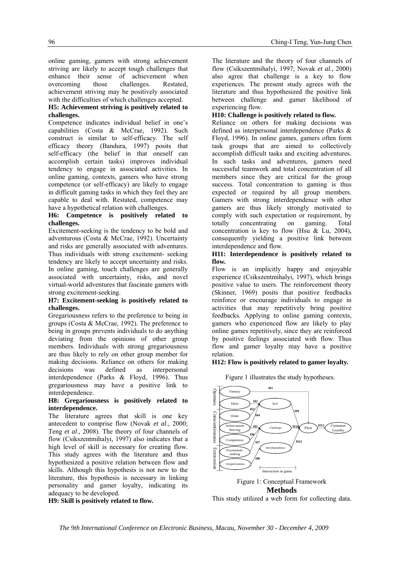96 Ching-I Teng, Yun-Jung Chen

online gaming, gamers with strong achievement striving are likely to accept tough challenges that enhance their sense of achievement when overcoming those challenges. Restated, achievement striving may be positively associated with the difficulties of which challenges accepted.

# **H5: Achievement striving is positively related to challenges.**

Competence indicates individual belief in one's capabilities (Costa & McCrae, 1992). Such construct is similar to self-efficacy. The self efficacy theory (Bandura, 1997) posits that self-efficacy (the belief in that oneself can accomplish certain tasks) improves individual tendency to engage in associated activities. In online gaming, contexts, gamers who have strong competence (or self-efficacy) are likely to engage in difficult gaming tasks in which they feel they are capable to deal with. Restated, competence may have a hypothetical relation with challenges.

# **H6: Competence is positively related to challenges.**

Excitement-seeking is the tendency to be bold and adventurous (Costa & McCrae, 1992). Uncertainty and risks are generally associated with adventures. Thus individuals with strong excitement- seeking tendency are likely to accept uncertainty and risks. In online gaming, touch challenges are generally associated with uncertainty, risks, and novel virtual-world adventures that fascinate gamers with strong excitement-seeking.

# **H7: Excitement-seeking is positively related to challenges.**

Gregariousness refers to the preference to being in groups (Costa & McCrae, 1992). The preference to being in groups prevents individuals to do anything deviating from the opinions of other group members. Individuals with strong gregariousness are thus likely to rely on other group member for making decisions. Reliance on others for making decisions was defined as interpersonal interdependence (Parks & Floyd, 1996). Thus gregariousness may have a positive link to interdependence.

# **H8: Gregariousness is positively related to interdependence.**

The literature agrees that skill is one key antecedent to comprise flow (Novak *et al*., 2000; Teng *et al*., 2008). The theory of four channels of flow (Csikszentmihalyi, 1997) also indicates that a high level of skill is necessary for creating flow. This study agrees with the literature and thus hypothesized a positive relation between flow and skills. Although this hypothesis is not new to the literature, this hypothesis is necessary in linking personality and gamer loyalty, indicating its adequacy to be developed.

**H9: Skill is positively related to flow.** 

The literature and the theory of four channels of flow (Csikszentmihalyi, 1997; Novak *et al*., 2000) also agree that challenge is a key to flow experiences. The present study agrees with the literature and thus hypothesized the positive link between challenge and gamer likelihood of experiencing flow.

# **H10: Challenge is positively related to flow.**

Reliance on others for making decisions was defined as interpersonal interdependence (Parks & Floyd, 1996). In online games, gamers often form task groups that are aimed to collectively accomplish difficult tasks and exciting adventures. In such tasks and adventures, gamers need successful teamwork and total concentration of all members since they are critical for the group success. Total concentration to gaming is thus expected or required by all group members. Gamers with strong interdependence with other gamers are thus likely strongly motivated to comply with such expectation or requirement, by totally concentrating on gaming. Total totally concentrating on gaming. Total concentration is key to flow (Hsu & Lu, 2004), consequently yielding a positive link between interdependence and flow.

#### **H11: Interdependence is positively related to flow.**

Flow is an implicitly happy and enjoyable experience (Csikszentmihalyi, 1997), which brings positive value to users. The reinforcement theory (Skinner, 1969) posits that positive feedbacks reinforce or encourage individuals to engage in activities that may repetitively bring positive feedbacks. Applying to online gaming contexts, gamers who experienced flow are likely to play online games repetitively, since they are reinforced by positive feelings associated with flow. Thus flow and gamer loyalty may have a positive relation.

# **H12: Flow is positively related to gamer loyalty.**

Figure 1 illustrates the study hypotheses.



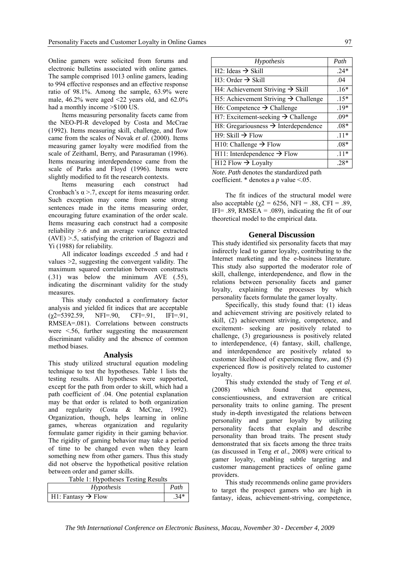Online gamers were solicited from forums and electronic bulletins associated with online games. The sample comprised 1013 online gamers, leading to 994 effective responses and an effective response ratio of 98.1%. Among the sample, 63.9% were male,  $46.2\%$  were aged <22 years old, and  $62.0\%$ had a monthly income  $> $100$  US.

Items measuring personality facets came from the NEO-PI-R developed by Costa and McCrae (1992). Items measuring skill, challenge, and flow came from the scales of Novak *et al*. (2000). Items measuring gamer loyalty were modified from the scale of Zeithaml, Berry, and Parasuraman (1996). Items measuring interdependence came from the scale of Parks and Floyd (1996). Items were slightly modified to fit the research contexts.

Items measuring each construct had Cronbach's  $\alpha$  >.7, except for items measuring order. Such exception may come from some strong sentences made in the items measuring order, encouraging future examination of the order scale. Items measuring each construct had a composite reliability >.6 and an average variance extracted (AVE) >.5, satisfying the criterion of Bagozzi and Yi (1988) for reliability.

All indicator loadings exceeded .5 and had *t* values >2, suggesting the convergent validity. The maximum squared correlation between constructs (.31) was below the minimum AVE (.55), indicating the discrminant validity for the study measures.

This study conducted a confirmatory factor analysis and yielded fit indices that are acceptable  $(\gamma 2=5392.59, \text{NFI} = .90, \text{CFI} = .91, \text{IFI} = .91,$ RMSEA=.081). Correlations between constructs were <.56, further suggesting the measurement discriminant validity and the absence of common method biases.

#### **Analysis**

This study utilized structural equation modeling technique to test the hypotheses. Table 1 lists the testing results. All hypotheses were supported, except for the path from order to skill, which had a path coefficient of .04. One potential explanation may be that order is related to both organization and regularity (Costa & McCrae, 1992). Organization, though, helps learning in online games, whereas organization and regularity formulate gamer rigidity in their gaming behavior. The rigidity of gaming behavior may take a period of time to be changed even when they learn something new from other gamers. Thus this study did not observe the hypothetical positive relation between order and gamer skills.

Table 1: Hypotheses Testing Results

| Hypothesis                             | Path |
|----------------------------------------|------|
| $\vert$ H1: Fantasy $\rightarrow$ Flow |      |

| Hypothesis                                       | Path   |
|--------------------------------------------------|--------|
| H2: Ideas $\rightarrow$ Skill                    | $.24*$ |
| H3: Order $\rightarrow$ Skill                    | .04    |
| H4: Achievement Striving $\rightarrow$ Skill     | $.16*$ |
| H5: Achievement Striving $\rightarrow$ Challenge | $.15*$ |
| H6: Competence $\rightarrow$ Challenge           | $19*$  |
| H7: Excitement-seeking $\rightarrow$ Challenge   | $.09*$ |
| H8: Gregariousness $\rightarrow$ Interdependence | $.08*$ |
| $H9: Skill \rightarrow Flow$                     | $11*$  |
| H10: Challenge $\rightarrow$ Flow                | $.08*$ |
| H11: Interdependence $\rightarrow$ Flow          | $.11*$ |
| $H12$ Flow $\rightarrow$ Loyalty                 | $.28*$ |

*Note*. *Path* denotes the standardized path coefficient. \* denotes a *p* value <.05.

The fit indices of the structural model were also acceptable ( $\gamma$ 2 = 6256, NFI = .88, CFI = .89, IFI= .89, RMSEA = .089), indicating the fit of our theoretical model to the empirical data.

# **General Discussion**

This study identified six personality facets that may indirectly lead to gamer loyalty, contributing to the Internet marketing and the e-business literature. This study also supported the moderator role of skill, challenge, interdependence, and flow in the relations between personality facets and gamer loyalty, explaining the processes by which personality facets formulate the gamer loyalty.

Specifically, this study found that: (1) ideas and achievement striving are positively related to skill, (2) achievement striving, competence, and excitement- seeking are positively related to challenge, (3) gregariousness is positively related to interdependence, (4) fantasy, skill, challenge, and interdependence are positively related to customer likelihood of experiencing flow, and (5) experienced flow is positively related to customer loyalty.

This study extended the study of Teng *et al*. (2008) which found that openness, conscientiousness, and extraversion are critical personality traits to online gaming. The present study in-depth investigated the relations between personality and gamer loyalty by utilizing personality facets that explain and describe personality than broad traits. The present study demonstrated that six facets among the three traits (as discussed in Teng *et al*., 2008) were critical to gamer loyalty, enabling subtle targeting and customer management practices of online game providers.

This study recommends online game providers to target the prospect gamers who are high in fantasy, ideas, achievement-striving, competence,